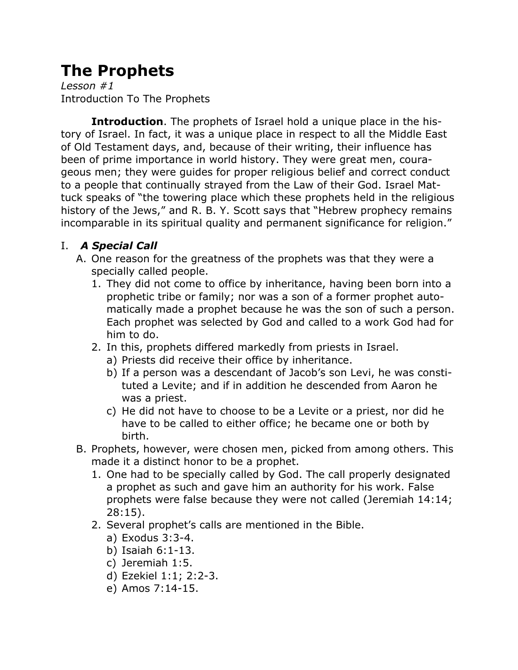# **The Prophets**

*Lesson #1* Introduction To The Prophets

**Introduction**. The prophets of Israel hold a unique place in the history of Israel. In fact, it was a unique place in respect to all the Middle East of Old Testament days, and, because of their writing, their influence has been of prime importance in world history. They were great men, courageous men; they were guides for proper religious belief and correct conduct to a people that continually strayed from the Law of their God. Israel Mattuck speaks of "the towering place which these prophets held in the religious history of the Jews," and R. B. Y. Scott says that "Hebrew prophecy remains incomparable in its spiritual quality and permanent significance for religion."

## I. *A Special Call*

- A. One reason for the greatness of the prophets was that they were a specially called people.
	- 1. They did not come to office by inheritance, having been born into a prophetic tribe or family; nor was a son of a former prophet automatically made a prophet because he was the son of such a person. Each prophet was selected by God and called to a work God had for him to do.
	- 2. In this, prophets differed markedly from priests in Israel.
		- a) Priests did receive their office by inheritance.
		- b) If a person was a descendant of Jacob's son Levi, he was constituted a Levite; and if in addition he descended from Aaron he was a priest.
		- c) He did not have to choose to be a Levite or a priest, nor did he have to be called to either office; he became one or both by birth.
- B. Prophets, however, were chosen men, picked from among others. This made it a distinct honor to be a prophet.
	- 1. One had to be specially called by God. The call properly designated a prophet as such and gave him an authority for his work. False prophets were false because they were not called (Jeremiah 14:14; 28:15).
	- 2. Several prophet's calls are mentioned in the Bible.
		- a) Exodus 3:3-4.
		- b) Isaiah 6:1-13.
		- c) Jeremiah 1:5.
		- d) Ezekiel 1:1; 2:2-3.
		- e) Amos 7:14-15.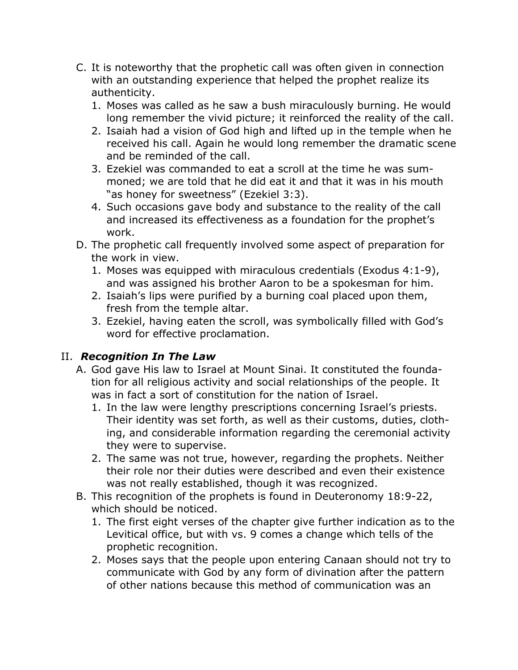- C. It is noteworthy that the prophetic call was often given in connection with an outstanding experience that helped the prophet realize its authenticity.
	- 1. Moses was called as he saw a bush miraculously burning. He would long remember the vivid picture; it reinforced the reality of the call.
	- 2. Isaiah had a vision of God high and lifted up in the temple when he received his call. Again he would long remember the dramatic scene and be reminded of the call.
	- 3. Ezekiel was commanded to eat a scroll at the time he was summoned; we are told that he did eat it and that it was in his mouth "as honey for sweetness" (Ezekiel 3:3).
	- 4. Such occasions gave body and substance to the reality of the call and increased its effectiveness as a foundation for the prophet's work.
- D. The prophetic call frequently involved some aspect of preparation for the work in view.
	- 1. Moses was equipped with miraculous credentials (Exodus 4:1-9), and was assigned his brother Aaron to be a spokesman for him.
	- 2. Isaiah's lips were purified by a burning coal placed upon them, fresh from the temple altar.
	- 3. Ezekiel, having eaten the scroll, was symbolically filled with God's word for effective proclamation.

## II. *Recognition In The Law*

- A. God gave His law to Israel at Mount Sinai. It constituted the foundation for all religious activity and social relationships of the people. It was in fact a sort of constitution for the nation of Israel.
	- 1. In the law were lengthy prescriptions concerning Israel's priests. Their identity was set forth, as well as their customs, duties, clothing, and considerable information regarding the ceremonial activity they were to supervise.
	- 2. The same was not true, however, regarding the prophets. Neither their role nor their duties were described and even their existence was not really established, though it was recognized.
- B. This recognition of the prophets is found in Deuteronomy 18:9-22, which should be noticed.
	- 1. The first eight verses of the chapter give further indication as to the Levitical office, but with vs. 9 comes a change which tells of the prophetic recognition.
	- 2. Moses says that the people upon entering Canaan should not try to communicate with God by any form of divination after the pattern of other nations because this method of communication was an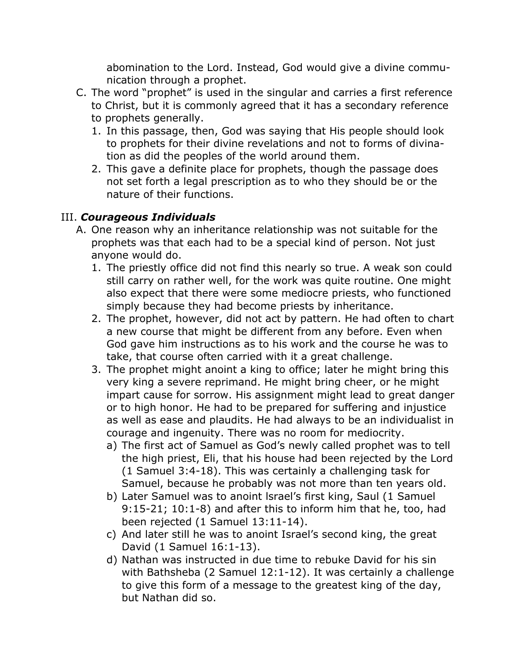abomination to the Lord. Instead, God would give a divine communication through a prophet.

- C. The word "prophet" is used in the singular and carries a first reference to Christ, but it is commonly agreed that it has a secondary reference to prophets generally.
	- 1. In this passage, then, God was saying that His people should look to prophets for their divine revelations and not to forms of divination as did the peoples of the world around them.
	- 2. This gave a definite place for prophets, though the passage does not set forth a legal prescription as to who they should be or the nature of their functions.

#### III. *Courageous Individuals*

- A. One reason why an inheritance relationship was not suitable for the prophets was that each had to be a special kind of person. Not just anyone would do.
	- 1. The priestly office did not find this nearly so true. A weak son could still carry on rather well, for the work was quite routine. One might also expect that there were some mediocre priests, who functioned simply because they had become priests by inheritance.
	- 2. The prophet, however, did not act by pattern. He had often to chart a new course that might be different from any before. Even when God gave him instructions as to his work and the course he was to take, that course often carried with it a great challenge.
	- 3. The prophet might anoint a king to office; later he might bring this very king a severe reprimand. He might bring cheer, or he might impart cause for sorrow. His assignment might lead to great danger or to high honor. He had to be prepared for suffering and injustice as well as ease and plaudits. He had always to be an individualist in courage and ingenuity. There was no room for mediocrity.
		- a) The first act of Samuel as God's newly called prophet was to tell the high priest, Eli, that his house had been rejected by the Lord (1 Samuel 3:4-18). This was certainly a challenging task for Samuel, because he probably was not more than ten years old.
		- b) Later Samuel was to anoint lsrael's first king, Saul (1 Samuel 9:15-21; 10:1-8) and after this to inform him that he, too, had been rejected (1 Samuel 13:11-14).
		- c) And later still he was to anoint Israel's second king, the great David (1 Samuel 16:1-13).
		- d) Nathan was instructed in due time to rebuke David for his sin with Bathsheba (2 Samuel 12:1-12). It was certainly a challenge to give this form of a message to the greatest king of the day, but Nathan did so.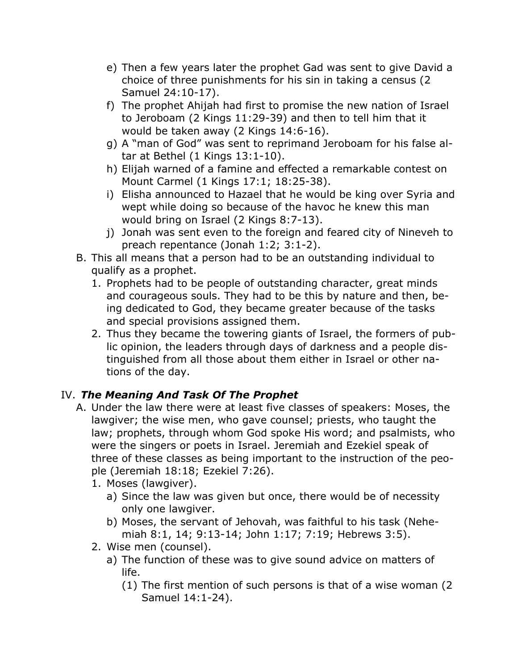- e) Then a few years later the prophet Gad was sent to give David a choice of three punishments for his sin in taking a census (2 Samuel 24:10-17).
- f) The prophet Ahijah had first to promise the new nation of Israel to Jeroboam (2 Kings 11:29-39) and then to tell him that it would be taken away (2 Kings 14:6-16).
- g) A "man of God" was sent to reprimand Jeroboam for his false altar at Bethel (1 Kings 13:1-10).
- h) Elijah warned of a famine and effected a remarkable contest on Mount Carmel (1 Kings 17:1; 18:25-38).
- i) Elisha announced to Hazael that he would be king over Syria and wept while doing so because of the havoc he knew this man would bring on Israel (2 Kings 8:7-13).
- j) Jonah was sent even to the foreign and feared city of Nineveh to preach repentance (Jonah 1:2; 3:1-2).
- B. This all means that a person had to be an outstanding individual to qualify as a prophet.
	- 1. Prophets had to be people of outstanding character, great minds and courageous souls. They had to be this by nature and then, being dedicated to God, they became greater because of the tasks and special provisions assigned them.
	- 2. Thus they became the towering giants of Israel, the formers of public opinion, the leaders through days of darkness and a people distinguished from all those about them either in Israel or other nations of the day.

# IV. *The Meaning And Task Of The Prophet*

- A. Under the law there were at least five classes of speakers: Moses, the lawgiver; the wise men, who gave counsel; priests, who taught the law; prophets, through whom God spoke His word; and psalmists, who were the singers or poets in Israel. Jeremiah and Ezekiel speak of three of these classes as being important to the instruction of the people (Jeremiah 18:18; Ezekiel 7:26).
	- 1. Moses (lawgiver).
		- a) Since the law was given but once, there would be of necessity only one lawgiver.
		- b) Moses, the servant of Jehovah, was faithful to his task (Nehemiah 8:1, 14; 9:13-14; John 1:17; 7:19; Hebrews 3:5).
	- 2. Wise men (counsel).
		- a) The function of these was to give sound advice on matters of life.
			- (1) The first mention of such persons is that of a wise woman (2 Samuel 14:1-24).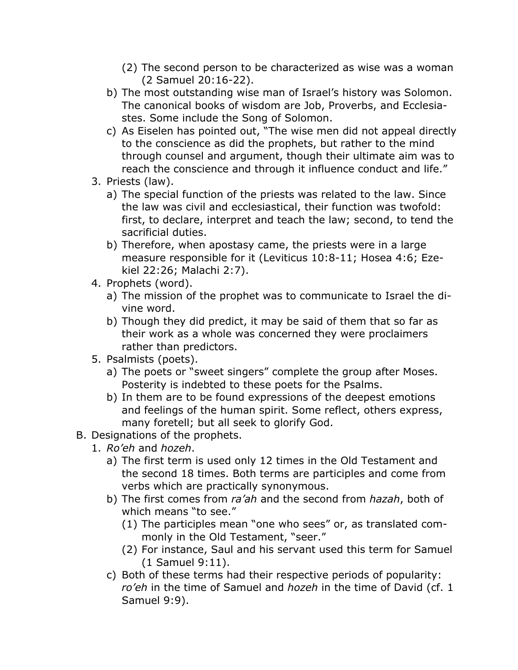- (2) The second person to be characterized as wise was a woman (2 Samuel 20:16-22).
- b) The most outstanding wise man of Israel's history was Solomon. The canonical books of wisdom are Job, Proverbs, and Ecclesiastes. Some include the Song of Solomon.
- c) As Eiselen has pointed out, "The wise men did not appeal directly to the conscience as did the prophets, but rather to the mind through counsel and argument, though their ultimate aim was to reach the conscience and through it influence conduct and life."
- 3. Priests (law).
	- a) The special function of the priests was related to the law. Since the law was civil and ecclesiastical, their function was twofold: first, to declare, interpret and teach the law; second, to tend the sacrificial duties.
	- b) Therefore, when apostasy came, the priests were in a large measure responsible for it (Leviticus 10:8-11; Hosea 4:6; Ezekiel 22:26; Malachi 2:7).
- 4. Prophets (word).
	- a) The mission of the prophet was to communicate to Israel the divine word.
	- b) Though they did predict, it may be said of them that so far as their work as a whole was concerned they were proclaimers rather than predictors.
- 5. Psalmists (poets).
	- a) The poets or "sweet singers" complete the group after Moses. Posterity is indebted to these poets for the Psalms.
	- b) In them are to be found expressions of the deepest emotions and feelings of the human spirit. Some reflect, others express, many foretell; but all seek to glorify God.
- B. Designations of the prophets.
	- 1. *Ro'eh* and *hozeh*.
		- a) The first term is used only 12 times in the Old Testament and the second 18 times. Both terms are participles and come from verbs which are practically synonymous.
		- b) The first comes from *ra'ah* and the second from *hazah*, both of which means "to see."
			- (1) The participles mean "one who sees" or, as translated commonly in the Old Testament, "seer."
			- (2) For instance, Saul and his servant used this term for Samuel (1 Samuel 9:11).
		- c) Both of these terms had their respective periods of popularity: *ro'eh* in the time of Samuel and *hozeh* in the time of David (cf. 1 Samuel 9:9).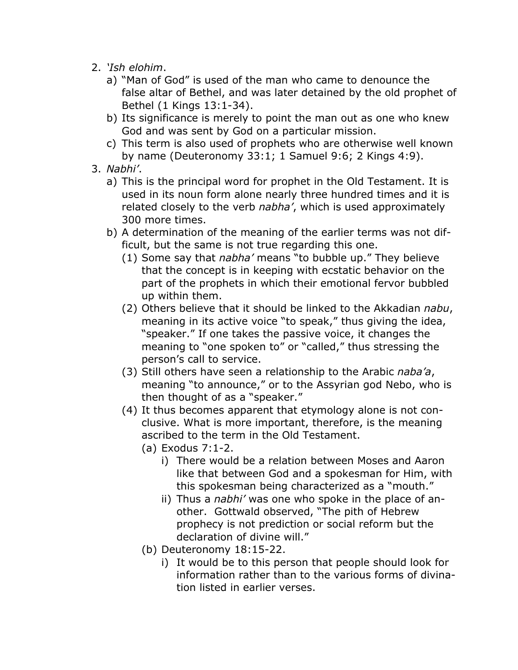- 2. *'Ish elohim*.
	- a) "Man of God" is used of the man who came to denounce the false altar of Bethel, and was later detained by the old prophet of Bethel (1 Kings 13:1-34).
	- b) Its significance is merely to point the man out as one who knew God and was sent by God on a particular mission.
	- c) This term is also used of prophets who are otherwise well known by name (Deuteronomy 33:1; 1 Samuel 9:6; 2 Kings 4:9).
- 3. *Nabhi'*.
	- a) This is the principal word for prophet in the Old Testament. It is used in its noun form alone nearly three hundred times and it is related closely to the verb *nabha'*, which is used approximately 300 more times.
	- b) A determination of the meaning of the earlier terms was not difficult, but the same is not true regarding this one.
		- (1) Some say that *nabha'* means "to bubble up." They believe that the concept is in keeping with ecstatic behavior on the part of the prophets in which their emotional fervor bubbled up within them.
		- (2) Others believe that it should be linked to the Akkadian *nabu*, meaning in its active voice "to speak," thus giving the idea, "speaker." If one takes the passive voice, it changes the meaning to "one spoken to" or "called," thus stressing the person's call to service.
		- (3) Still others have seen a relationship to the Arabic *naba'a*, meaning "to announce," or to the Assyrian god Nebo, who is then thought of as a "speaker."
		- (4) It thus becomes apparent that etymology alone is not conclusive. What is more important, therefore, is the meaning ascribed to the term in the Old Testament.
			- (a) Exodus 7:1-2.
				- i) There would be a relation between Moses and Aaron like that between God and a spokesman for Him, with this spokesman being characterized as a "mouth."
				- ii) Thus a *nabhi'* was one who spoke in the place of another. Gottwald observed, "The pith of Hebrew prophecy is not prediction or social reform but the declaration of divine will."
			- (b) Deuteronomy 18:15-22.
				- i) It would be to this person that people should look for information rather than to the various forms of divination listed in earlier verses.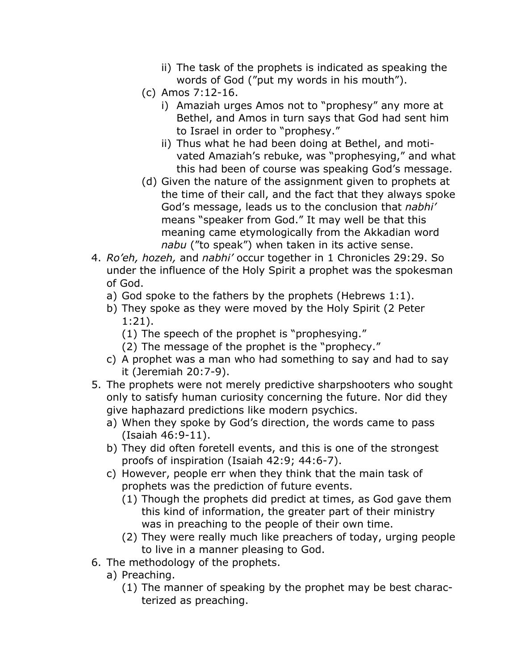- ii) The task of the prophets is indicated as speaking the words of God ("put my words in his mouth").
- (c) Amos 7:12-16.
	- i) Amaziah urges Amos not to "prophesy" any more at Bethel, and Amos in turn says that God had sent him to Israel in order to "prophesy."
	- ii) Thus what he had been doing at Bethel, and motivated Amaziah's rebuke, was "prophesying," and what this had been of course was speaking God's message.
- (d) Given the nature of the assignment given to prophets at the time of their call, and the fact that they always spoke God's message, leads us to the conclusion that *nabhi'* means "speaker from God." It may well be that this meaning came etymologically from the Akkadian word *nabu* ("to speak") when taken in its active sense.
- 4. *Ro'eh, hozeh,* and *nabhi'* occur together in 1 Chronicles 29:29. So under the influence of the Holy Spirit a prophet was the spokesman of God.
	- a) God spoke to the fathers by the prophets (Hebrews 1:1).
	- b) They spoke as they were moved by the Holy Spirit (2 Peter 1:21).
		- (1) The speech of the prophet is "prophesying."
		- (2) The message of the prophet is the "prophecy."
	- c) A prophet was a man who had something to say and had to say it (Jeremiah 20:7-9).
- 5. The prophets were not merely predictive sharpshooters who sought only to satisfy human curiosity concerning the future. Nor did they give haphazard predictions like modern psychics.
	- a) When they spoke by God's direction, the words came to pass (Isaiah 46:9-11).
	- b) They did often foretell events, and this is one of the strongest proofs of inspiration (Isaiah 42:9; 44:6-7).
	- c) However, people err when they think that the main task of prophets was the prediction of future events.
		- (1) Though the prophets did predict at times, as God gave them this kind of information, the greater part of their ministry was in preaching to the people of their own time.
		- (2) They were really much like preachers of today, urging people to live in a manner pleasing to God.
- 6. The methodology of the prophets.
	- a) Preaching.
		- (1) The manner of speaking by the prophet may be best characterized as preaching.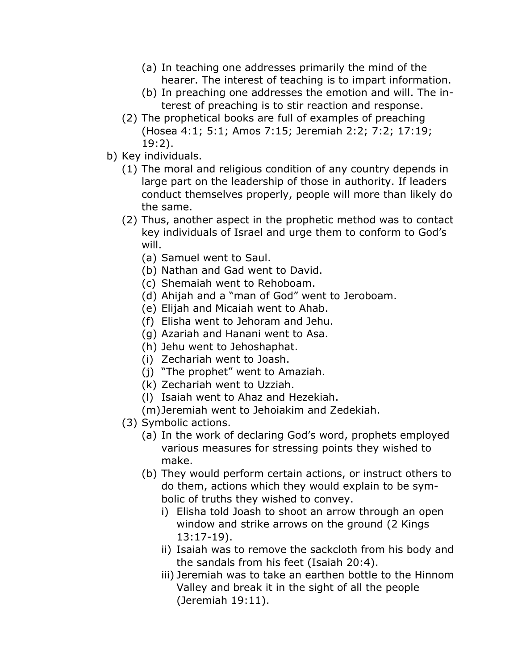- (a) In teaching one addresses primarily the mind of the hearer. The interest of teaching is to impart information.
- (b) In preaching one addresses the emotion and will. The interest of preaching is to stir reaction and response.
- (2) The prophetical books are full of examples of preaching (Hosea 4:1; 5:1; Amos 7:15; Jeremiah 2:2; 7:2; 17:19; 19:2).
- b) Key individuals.
	- (1) The moral and religious condition of any country depends in large part on the leadership of those in authority. If leaders conduct themselves properly, people will more than likely do the same.
	- (2) Thus, another aspect in the prophetic method was to contact key individuals of Israel and urge them to conform to God's will.
		- (a) Samuel went to Saul.
		- (b) Nathan and Gad went to David.
		- (c) Shemaiah went to Rehoboam.
		- (d) Ahijah and a "man of God" went to Jeroboam.
		- (e) Elijah and Micaiah went to Ahab.
		- (f) Elisha went to Jehoram and Jehu.
		- (g) Azariah and Hanani went to Asa.
		- (h) Jehu went to Jehoshaphat.
		- (i) Zechariah went to Joash.
		- (j) "The prophet" went to Amaziah.
		- (k) Zechariah went to Uzziah.
		- (l) Isaiah went to Ahaz and Hezekiah.
		- (m)Jeremiah went to Jehoiakim and Zedekiah.
	- (3) Symbolic actions.
		- (a) In the work of declaring God's word, prophets employed various measures for stressing points they wished to make.
		- (b) They would perform certain actions, or instruct others to do them, actions which they would explain to be symbolic of truths they wished to convey.
			- i) Elisha told Joash to shoot an arrow through an open window and strike arrows on the ground (2 Kings 13:17-19).
			- ii) Isaiah was to remove the sackcloth from his body and the sandals from his feet (Isaiah 20:4).
			- iii) Jeremiah was to take an earthen bottle to the Hinnom Valley and break it in the sight of all the people (Jeremiah 19:11).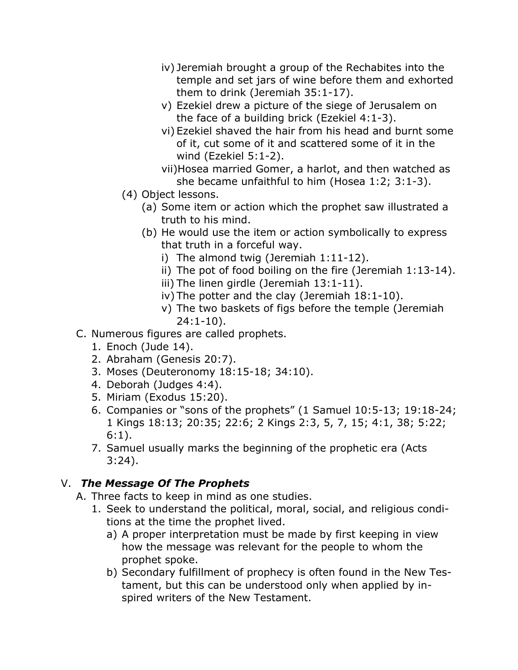- iv) Jeremiah brought a group of the Rechabites into the temple and set jars of wine before them and exhorted them to drink (Jeremiah 35:1-17).
- v) Ezekiel drew a picture of the siege of Jerusalem on the face of a building brick (Ezekiel 4:1-3).
- vi) Ezekiel shaved the hair from his head and burnt some of it, cut some of it and scattered some of it in the wind (Ezekiel 5:1-2).
- vii)Hosea married Gomer, a harlot, and then watched as she became unfaithful to him (Hosea 1:2; 3:1-3).
- (4) Object lessons.
	- (a) Some item or action which the prophet saw illustrated a truth to his mind.
	- (b) He would use the item or action symbolically to express that truth in a forceful way.
		- i) The almond twig (Jeremiah 1:11-12).
		- ii) The pot of food boiling on the fire (Jeremiah 1:13-14).
		- iii) The linen girdle (Jeremiah 13:1-11).
		- iv) The potter and the clay (Jeremiah 18:1-10).
		- v) The two baskets of figs before the temple (Jeremiah 24:1-10).
- C. Numerous figures are called prophets.
	- 1. Enoch (Jude 14).
	- 2. Abraham (Genesis 20:7).
	- 3. Moses (Deuteronomy 18:15-18; 34:10).
	- 4. Deborah (Judges 4:4).
	- 5. Miriam (Exodus 15:20).
	- 6. Companies or "sons of the prophets" (1 Samuel 10:5-13; 19:18-24; 1 Kings 18:13; 20:35; 22:6; 2 Kings 2:3, 5, 7, 15; 4:1, 38; 5:22; 6:1).
	- 7. Samuel usually marks the beginning of the prophetic era (Acts 3:24).

## V. *The Message Of The Prophets*

- A. Three facts to keep in mind as one studies.
	- 1. Seek to understand the political, moral, social, and religious conditions at the time the prophet lived.
		- a) A proper interpretation must be made by first keeping in view how the message was relevant for the people to whom the prophet spoke.
		- b) Secondary fulfillment of prophecy is often found in the New Testament, but this can be understood only when applied by inspired writers of the New Testament.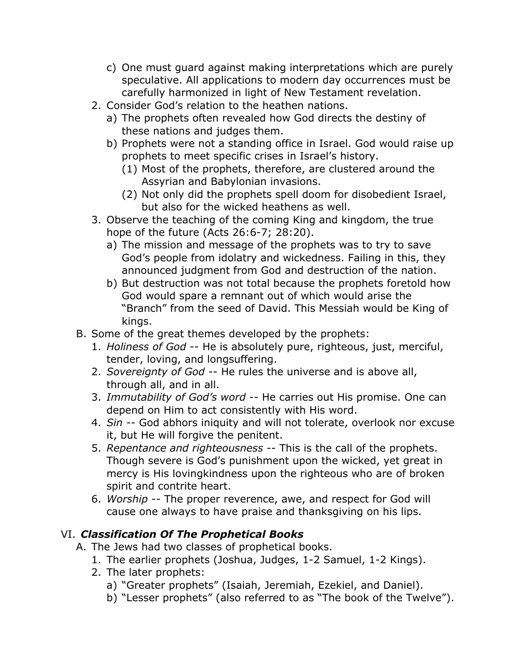- c) One must guard against making interpretations which are purely speculative. All applications to modern day occurrences must be carefully harmonized in light of New Testament revelation.
- 2. Consider God's relation to the heathen nations.
	- a) The prophets often revealed how God directs the destiny of these nations and judges them.
	- b) Prophets were not a standing office in Israel. God would raise up prophets to meet specific crises in Israel's history.
		- (1) Most of the prophets, therefore, are clustered around the Assyrian and Babylonian invasions.
		- (2) Not only did the prophets spell doom for disobedient Israel, but also for the wicked heathens as well.
- 3. Observe the teaching of the coming King and kingdom, the true hope of the future (Acts 26:6-7; 28:20).
	- a) The mission and message of the prophets was to try to save God's people from idolatry and wickedness. Failing in this, they announced judgment from God and destruction of the nation.
	- b) But destruction was not total because the prophets foretold how God would spare a remnant out of which would arise the "Branch" from the seed of David. This Messiah would be King of kings.
- B. Some of the great themes developed by the prophets:
	- 1. *Holiness of God* -- He is absolutely pure, righteous, just, merciful, tender, loving, and longsuffering.
	- 2. *Sovereignty of God* -- He rules the universe and is above all, through all, and in all.
	- 3. *Immutability of God's word* -- He carries out His promise. One can depend on Him to act consistently with His word.
	- 4. *Sin* -- God abhors iniquity and will not tolerate, overlook nor excuse it, but He will forgive the penitent.
	- 5. *Repentance and righteousness* -- This is the call of the prophets. Though severe is God's punishment upon the wicked, yet great in mercy is His lovingkindness upon the righteous who are of broken spirit and contrite heart.
	- 6. *Worship* -- The proper reverence, awe, and respect for God will cause one always to have praise and thanksgiving on his lips.

# VI. *Classification Of The Prophetical Books*

- A. The Jews had two classes of prophetical books.
	- 1. The earlier prophets (Joshua, Judges, 1-2 Samuel, 1-2 Kings).
	- 2. The later prophets:
		- a) "Greater prophets" (Isaiah, Jeremiah, Ezekiel, and Daniel).
		- b) "Lesser prophets" (also referred to as "The book of the Twelve").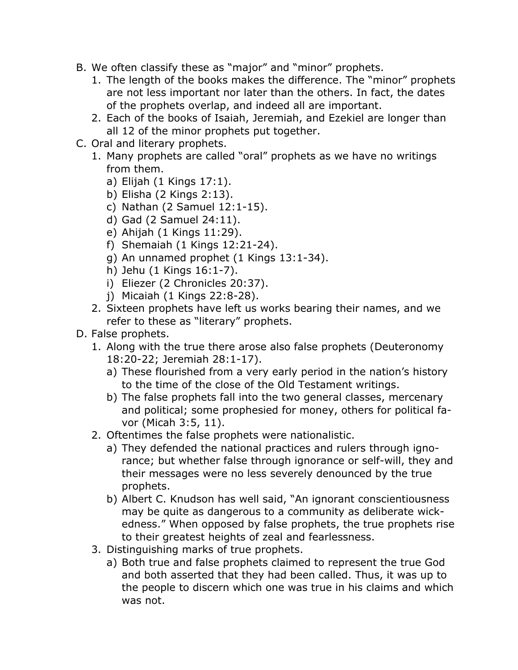- B. We often classify these as "major" and "minor" prophets.
	- 1. The length of the books makes the difference. The "minor" prophets are not less important nor later than the others. In fact, the dates of the prophets overlap, and indeed all are important.
	- 2. Each of the books of Isaiah, Jeremiah, and Ezekiel are longer than all 12 of the minor prophets put together.
- C. Oral and literary prophets.
	- 1. Many prophets are called "oral" prophets as we have no writings from them.
		- a) Elijah (1 Kings 17:1).
		- b) Elisha (2 Kings 2:13).
		- c) Nathan (2 Samuel 12:1-15).
		- d) Gad (2 Samuel 24:11).
		- e) Ahijah (1 Kings 11:29).
		- f) Shemaiah (1 Kings 12:21-24).
		- g) An unnamed prophet (1 Kings 13:1-34).
		- h) Jehu (1 Kings 16:1-7).
		- i) Eliezer (2 Chronicles 20:37).
		- j) Micaiah (1 Kings 22:8-28).
	- 2. Sixteen prophets have left us works bearing their names, and we refer to these as "literary" prophets.
- D. False prophets.
	- 1. Along with the true there arose also false prophets (Deuteronomy 18:20-22; Jeremiah 28:1-17).
		- a) These flourished from a very early period in the nation's history to the time of the close of the Old Testament writings.
		- b) The false prophets fall into the two general classes, mercenary and political; some prophesied for money, others for political favor (Micah 3:5, 11).
	- 2. Oftentimes the false prophets were nationalistic.
		- a) They defended the national practices and rulers through ignorance; but whether false through ignorance or self-will, they and their messages were no less severely denounced by the true prophets.
		- b) Albert C. Knudson has well said, "An ignorant conscientiousness may be quite as dangerous to a community as deliberate wickedness." When opposed by false prophets, the true prophets rise to their greatest heights of zeal and fearlessness.
	- 3. Distinguishing marks of true prophets.
		- a) Both true and false prophets claimed to represent the true God and both asserted that they had been called. Thus, it was up to the people to discern which one was true in his claims and which was not.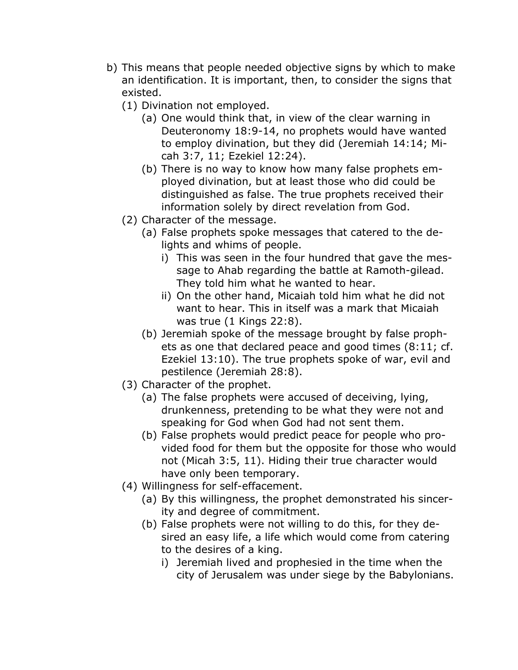- b) This means that people needed objective signs by which to make an identification. It is important, then, to consider the signs that existed.
	- (1) Divination not employed.
		- (a) One would think that, in view of the clear warning in Deuteronomy 18:9-14, no prophets would have wanted to employ divination, but they did (Jeremiah 14:14; Micah 3:7, 11; Ezekiel 12:24).
		- (b) There is no way to know how many false prophets employed divination, but at least those who did could be distinguished as false. The true prophets received their information solely by direct revelation from God.
	- (2) Character of the message.
		- (a) False prophets spoke messages that catered to the delights and whims of people.
			- i) This was seen in the four hundred that gave the message to Ahab regarding the battle at Ramoth-gilead. They told him what he wanted to hear.
			- ii) On the other hand, Micaiah told him what he did not want to hear. This in itself was a mark that Micaiah was true (1 Kings 22:8).
		- (b) Jeremiah spoke of the message brought by false prophets as one that declared peace and good times (8:11; cf. Ezekiel 13:10). The true prophets spoke of war, evil and pestilence (Jeremiah 28:8).
	- (3) Character of the prophet.
		- (a) The false prophets were accused of deceiving, lying, drunkenness, pretending to be what they were not and speaking for God when God had not sent them.
		- (b) False prophets would predict peace for people who provided food for them but the opposite for those who would not (Micah 3:5, 11). Hiding their true character would have only been temporary.
	- (4) Willingness for self-effacement.
		- (a) By this willingness, the prophet demonstrated his sincerity and degree of commitment.
		- (b) False prophets were not willing to do this, for they desired an easy life, a life which would come from catering to the desires of a king.
			- i) Jeremiah lived and prophesied in the time when the city of Jerusalem was under siege by the Babylonians.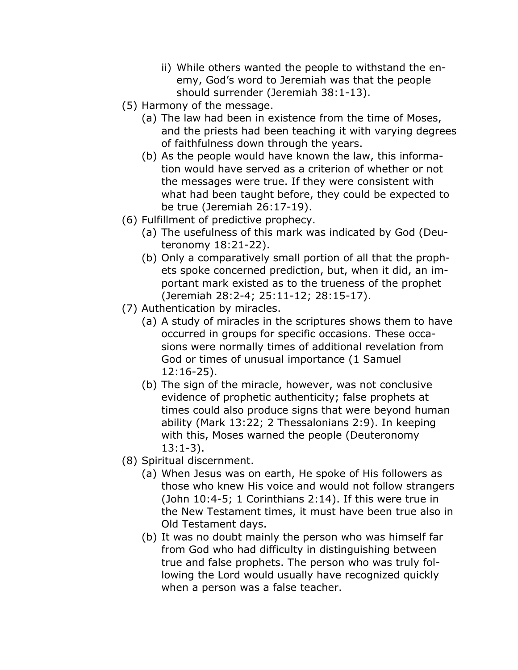- ii) While others wanted the people to withstand the enemy, God's word to Jeremiah was that the people should surrender (Jeremiah 38:1-13).
- (5) Harmony of the message.
	- (a) The law had been in existence from the time of Moses, and the priests had been teaching it with varying degrees of faithfulness down through the years.
	- (b) As the people would have known the law, this information would have served as a criterion of whether or not the messages were true. If they were consistent with what had been taught before, they could be expected to be true (Jeremiah 26:17-19).
- (6) Fulfillment of predictive prophecy.
	- (a) The usefulness of this mark was indicated by God (Deuteronomy 18:21-22).
	- (b) Only a comparatively small portion of all that the prophets spoke concerned prediction, but, when it did, an important mark existed as to the trueness of the prophet (Jeremiah 28:2-4; 25:11-12; 28:15-17).
- (7) Authentication by miracles.
	- (a) A study of miracles in the scriptures shows them to have occurred in groups for specific occasions. These occasions were normally times of additional revelation from God or times of unusual importance (1 Samuel 12:16-25).
	- (b) The sign of the miracle, however, was not conclusive evidence of prophetic authenticity; false prophets at times could also produce signs that were beyond human ability (Mark 13:22; 2 Thessalonians 2:9). In keeping with this, Moses warned the people (Deuteronomy 13:1-3).
- (8) Spiritual discernment.
	- (a) When Jesus was on earth, He spoke of His followers as those who knew His voice and would not follow strangers (John 10:4-5; 1 Corinthians 2:14). If this were true in the New Testament times, it must have been true also in Old Testament days.
	- (b) It was no doubt mainly the person who was himself far from God who had difficulty in distinguishing between true and false prophets. The person who was truly following the Lord would usually have recognized quickly when a person was a false teacher.